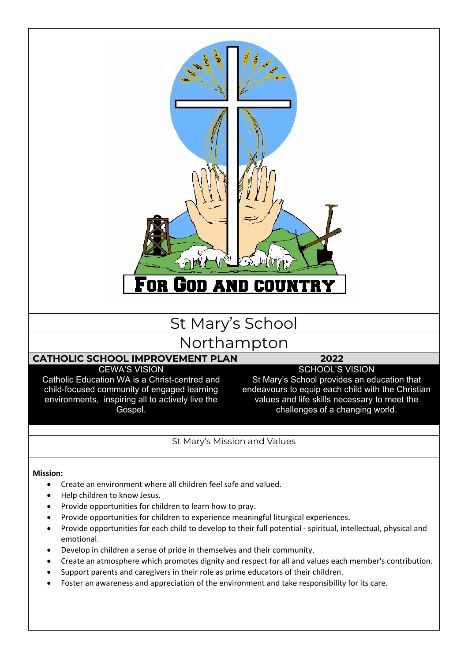

St Mary's Mission and Values

#### **Mission:**

- Create an environment where all children feel safe and valued.
- Help children to know Jesus.
- Provide opportunities for children to learn how to pray.
- Provide opportunities for children to experience meaningful liturgical experiences.
- Provide opportunities for each child to develop to their full potential spiritual, intellectual, physical and emotional.
- Develop in children a sense of pride in themselves and their community.
- Create an atmosphere which promotes dignity and respect for all and values each member's contribution.
- Support parents and caregivers in their role as prime educators of their children.
- Foster an awareness and appreciation of the environment and take responsibility for its care.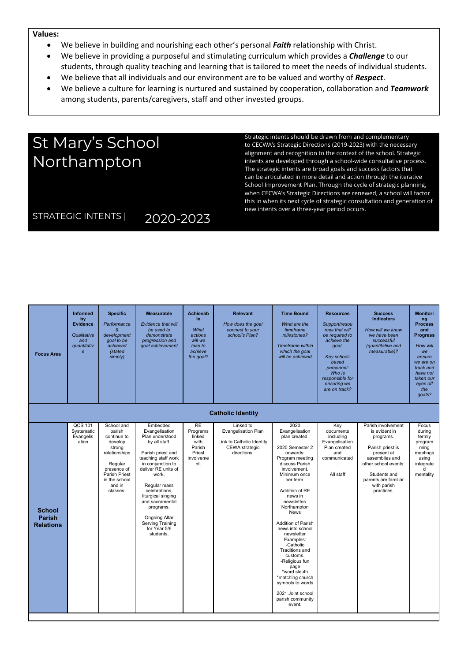#### **Values:**

- We believe in building and nourishing each other's personal *Faith* relationship with Christ.
- We believe in providing a purposeful and stimulating curriculum which provides a *Challenge* to our students, through quality teaching and learning that is tailored to meet the needs of individual students.
- We believe that all individuals and our environment are to be valued and worthy of *Respect*.
- We believe a culture for learning is nurtured and sustained by cooperation, collaboration and *Teamwork* among students, parents/caregivers, staff and other invested groups.

# St Mary's School **Northampton**

Strategic intents should be drawn from and complementary to CECWA's Strategic Directions (2019-2023) with the necessary alignment and recognition to the context of the school. Strategic intents are developed through a school-wide consultative process. The strategic intents are broad goals and success factors that can be articulated in more detail and action through the iterative School Improvement Plan. Through the cycle of strategic planning, when CECWA's Strategic Directions are renewed, a school will factor this in when its next cycle of strategic consultation and generation of new intents over a three-year period occurs.

## STRATEGIC INTENTS | 2020-2023

| <b>Focus Area</b>                                  | <b>Informed</b><br>by<br><b>Evidence</b><br>Qualitative<br>and<br><i><u><b>auantitativ</b></u></i><br>$\epsilon$ | <b>Specific</b><br>Performance<br>&<br>development<br>goal to be<br>achieved<br>(stated<br>simply)                                                                 | <b>Measurable</b><br>Evidence that will<br>be used to<br>demonstrate<br>progression and<br>goal achievement                                                                                                                                                                                                                     | <b>Achievab</b><br>le<br>What<br>actions<br>will we<br>take to<br>achieve<br>the goal? | <b>Relevant</b><br>How does the goal<br>connect to your<br>school's Plan?                      | <b>Time Bound</b><br>What are the<br>timeframe<br>milestones?<br><b>Timeframe</b> within<br>which the goal<br>will be achieved                                                                                                                                                                                                                                                                                                                                                                 | <b>Resources</b><br>Support/resou<br>rces that will<br>be required to<br>achieve the<br>goal.<br>Key school-<br>based<br>personnel:<br>Who is<br>responsible for<br>ensuring we<br>are on track? | <b>Success</b><br><b>Indicators</b><br>How will we know<br>we have been<br>successful<br>(quantitative and<br>measurable)?                                                                        | <b>Monitori</b><br>ng<br><b>Process</b><br>and<br><b>Progress</b><br>How will<br>we<br>ensure<br>we are on<br>track and<br>have not<br>taken our<br>eyes off<br>the<br>qoals? |
|----------------------------------------------------|------------------------------------------------------------------------------------------------------------------|--------------------------------------------------------------------------------------------------------------------------------------------------------------------|---------------------------------------------------------------------------------------------------------------------------------------------------------------------------------------------------------------------------------------------------------------------------------------------------------------------------------|----------------------------------------------------------------------------------------|------------------------------------------------------------------------------------------------|------------------------------------------------------------------------------------------------------------------------------------------------------------------------------------------------------------------------------------------------------------------------------------------------------------------------------------------------------------------------------------------------------------------------------------------------------------------------------------------------|--------------------------------------------------------------------------------------------------------------------------------------------------------------------------------------------------|---------------------------------------------------------------------------------------------------------------------------------------------------------------------------------------------------|-------------------------------------------------------------------------------------------------------------------------------------------------------------------------------|
|                                                    |                                                                                                                  |                                                                                                                                                                    |                                                                                                                                                                                                                                                                                                                                 |                                                                                        | <b>Catholic Identity</b>                                                                       |                                                                                                                                                                                                                                                                                                                                                                                                                                                                                                |                                                                                                                                                                                                  |                                                                                                                                                                                                   |                                                                                                                                                                               |
| <b>School</b><br><b>Parish</b><br><b>Relations</b> | QCS 101<br>Systematic<br>Evangelis<br>ation                                                                      | School and<br>parish<br>continue to<br>develop<br>strong<br>relationships<br>Regular<br>presence of<br><b>Parish Priest</b><br>in the school<br>and in<br>classes. | Embedded<br>Evangelisation<br>Plan understood<br>by all staff.<br>Parish priest and<br>teaching staff work<br>in conjunction to<br>deliver RE units of<br>work.<br>Regular mass<br>celebrations,<br>liturgical singing<br>and sacramental<br>programs.<br><b>Ongoing Altar</b><br>Serving Training<br>for Year 5/6<br>students. | <b>RE</b><br>Programs<br>linked<br>with<br>Parish<br>Priest<br>involveme<br>nt.        | Linked to<br>Evangelisation Plan<br>Link to Catholic Identity<br>CEWA strategic<br>directions. | 2020<br>Evangelisation<br>plan created.<br>2020 Semester 2<br>onwards:<br>Program meeting<br>discuss Parish<br>involvement.<br>Minimum once<br>per term.<br>Addition of RE<br>news in<br>newsletter/<br>Northampton<br><b>News</b><br><b>Addition of Parish</b><br>news into school<br>newsletter<br>Examples:<br>-Catholic<br>Traditions and<br>customs.<br>-Religious fun<br>page<br>*word sleuth<br>*matching church<br>symbols to words<br>2021 Joint school<br>parish community<br>event. | Key<br>documents<br>including<br>Evangelisation<br>Plan created<br>and<br>communicated<br>All staff                                                                                              | Parish involvement<br>is evident in<br>programs.<br>Parish priest is<br>present at<br>assemblies and<br>other school events.<br>Students and<br>parents are familiar<br>with parish<br>practices. | Focus<br>during<br>termly<br>program<br>ming<br>meetings<br>using<br>integrate<br>d<br>mentality                                                                              |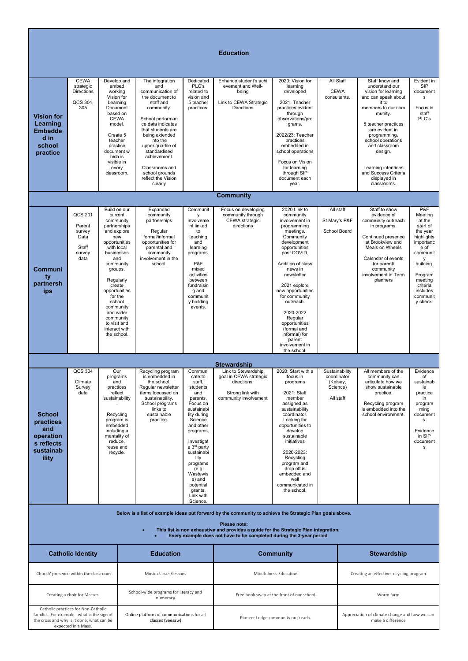#### **Education Vision for Learning Embedde d in school practice CEWA** strategic **Directions**  $OCS$  304  $-305$ Develop and embed working Vision for Learning Document based on **CEWA** model. Create 5 teacher practice document w hich is visible in every classroom. The integration and communication of the document to staff and community. School performan ce data indicates that students are being extended into the upper quartile of standardised achievement. Classrooms and school grounds reflect the Vision clearly Dedicated PLC's related to vision and 5 teacher practices. Enhance student's achi evement and Wellbeing Link to CEWA Strategic Directions 2020: Vision for learning developed 2021: Teacher practices evident through observations/pro grams. 2022/23: Teacher practices embedded in school operations Focus on Vision for learning through SIP document each year. All Staff **CEWA** consultants. Staff know and understand our undercom... and can speak about it to members to our com munity. 5 teacher practices are evident in programming, school operations and classroom design. Learning intentions and Success Criteria displayed in classrooms. Evident in SIP document s Focus in staff PLC's **Community Communi ty partnersh ips** QCS 201 Parent survey Data Staff survey data Build on our current community partnerships and explore new opportunities with local businesses and community groups. Regularly create opportunities for the school community and wider community to visit and interact with the school. Expanded community partnerships Regular formal/informal opportunities for parental and community involvement in the school. **Communit** y involveme nt linked to teaching and learning programs. P&F mixed activities between fundraisin g and communit y building events. Focus on developing community through CEWA strategic directions 2020 Link to community involvement in programming meetings. **Community** development opportunities post COVID. Addition of class news in newsletter 2021 explore new opportunities for community outreach. 2020-2022 **Regular** opportunities (formal and informal) for parent involvement in the school All staff St Mary's P&F School Board Staff to show evidence of community outreach in programs. Continued presence at Brookview and Meals on Wheels Calendar of events for parent/ community involvement in Term planners P&F Meeting at the start of the year highlights importanc e of communit y building. Program meeting criteria includes communit y check. **Stewardship School practices and operation s reflects sustainab ility** QCS 304 Climate Survey data Our programs and practices reflect sustainability . Recycling program is embedded including a mentality of reduce, reuse and recycle. Recycling program is embedded in the school. Regular newsletter regalar nowsletter<br>items focussed on sustainability. School programs links to sustainable practice. Communi cate to staff, students and parents. Focus on sustainabi lity during Science and other programs. Investigat e 3<sup>rd</sup> party sustainabi lity programs (e.g Wastewis e) and potential grants. Link with Science. Link to Stewardship goal in CEWA strategic directions. Strong link with community involvement 2020: Start with a focus in programs 2021: Staff member assigned as sustainability coordinator. Looking for opportunities to develop sustainable initiatives 2020-2023: Recycling program and drop off is embedded and well communicated in the school. Sustainability coordinator (Kelsey, Science) All staff All members of the community can articulate how we show sustainable practice. Recycling program is embedded into the school environment. Evidence of sustainab le<br>practice in program ming document s. Evidence in SIP document s **Below is a list of example ideas put forward by the community to achieve the Strategic Plan goals above. Please note:** • **This list is non exhaustive and provides a guide for the Strategic Plan integration.** • **Every example does not have to be completed during the 3-year period Catholic Identity Education Example 20 and Community Community Community Stewardship** 'Church' presence within the classroom Music classes/lessons Mindfulness Education Creating an effective recycling program Creating a choir for Masses.<br>
School-wide programs for literacy and<br>
numeracy Free book swap at the front of our school Worm farm Catholic practices for Non-Catholic families. For example - what is the sign of the cross and why is it done, what can be expected in a Mass. Online platform of communications for all<br>classes (Seesaw) Pioneer Lodge community out reach. Appreciation of climate change and how we can make a difference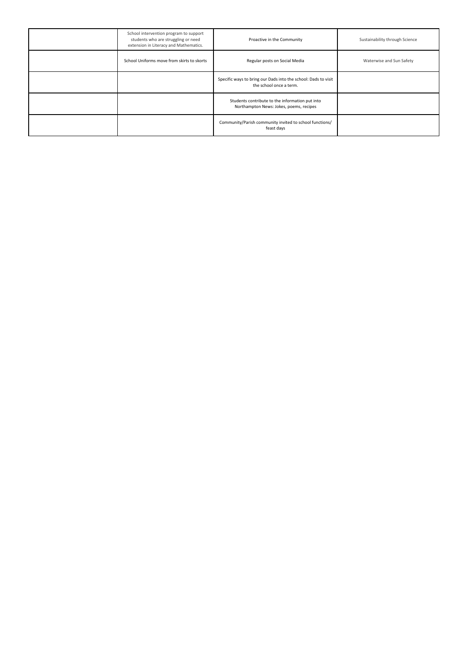| School intervention program to support<br>students who are struggling or need<br>extension in Literacy and Mathematics. | Proactive in the Community                                                                 | Sustainability through Science |
|-------------------------------------------------------------------------------------------------------------------------|--------------------------------------------------------------------------------------------|--------------------------------|
| School Uniforms move from skirts to skorts                                                                              | Regular posts on Social Media                                                              | Waterwise and Sun Safety       |
|                                                                                                                         | Specific ways to bring our Dads into the school: Dads to visit<br>the school once a term.  |                                |
|                                                                                                                         | Students contribute to the information put into<br>Northampton News: Jokes, poems, recipes |                                |
|                                                                                                                         | Community/Parish community invited to school functions/<br>feast days                      |                                |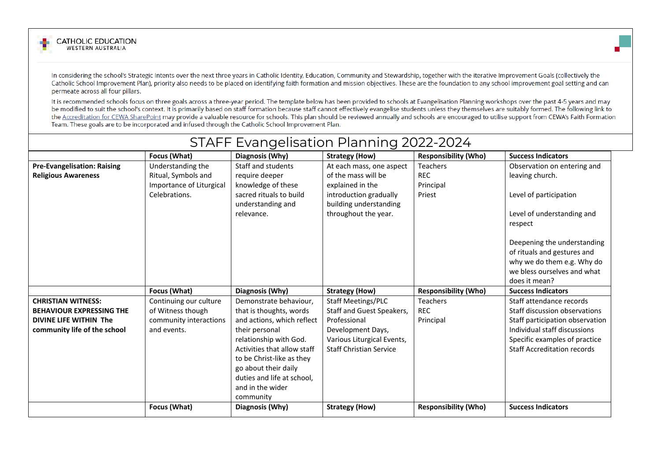

In considering the school's Strategic Intents over the next three years in Catholic Identity, Education, Community and Stewardship, together with the iterative Improvement Goals (collectively the Catholic School Improvement Plan), priority also needs to be placed on identifying faith formation and mission objectives. These are the foundation to any school improvement goal setting and can permeate across all four pillars.

It is recommended schools focus on three goals across a three-year period. The template below has been provided to schools at Evangelisation Planning workshops over the past 4-5 years and may be modified to suit the school's context. It is primarily based on staff formation because staff cannot effectively evangelise students unless they themselves are suitably formed. The following link to the Accreditation for CEWA SharePoint may provide a valuable resource for schools. This plan should be reviewed annually and schools are encouraged to utilise support from CEWA's Faith Formation Team. These goals are to be incorporated and infused through the Catholic School Improvement Plan.

|                                                                                                                        |                                                                                       | STAFF Evangelisation Planning 2022-2024                                                                                                                                                                                                                                        |                                                                                                                                                      |                                                      |                                                                                                                                                                                                                                                               |
|------------------------------------------------------------------------------------------------------------------------|---------------------------------------------------------------------------------------|--------------------------------------------------------------------------------------------------------------------------------------------------------------------------------------------------------------------------------------------------------------------------------|------------------------------------------------------------------------------------------------------------------------------------------------------|------------------------------------------------------|---------------------------------------------------------------------------------------------------------------------------------------------------------------------------------------------------------------------------------------------------------------|
|                                                                                                                        | Focus (What)                                                                          | Diagnosis (Why)                                                                                                                                                                                                                                                                | <b>Strategy (How)</b>                                                                                                                                | <b>Responsibility (Who)</b>                          | <b>Success Indicators</b>                                                                                                                                                                                                                                     |
| <b>Pre-Evangelisation: Raising</b><br><b>Religious Awareness</b>                                                       | Understanding the<br>Ritual, Symbols and<br>Importance of Liturgical<br>Celebrations. | Staff and students<br>require deeper<br>knowledge of these<br>sacred rituals to build<br>understanding and<br>relevance.                                                                                                                                                       | At each mass, one aspect<br>of the mass will be<br>explained in the<br>introduction gradually<br>building understanding<br>throughout the year.      | <b>Teachers</b><br><b>REC</b><br>Principal<br>Priest | Observation on entering and<br>leaving church.<br>Level of participation<br>Level of understanding and<br>respect<br>Deepening the understanding<br>of rituals and gestures and<br>why we do them e.g. Why do<br>we bless ourselves and what<br>does it mean? |
|                                                                                                                        | Focus (What)                                                                          | Diagnosis (Why)                                                                                                                                                                                                                                                                | <b>Strategy (How)</b>                                                                                                                                | <b>Responsibility (Who)</b>                          | <b>Success Indicators</b>                                                                                                                                                                                                                                     |
| <b>CHRISTIAN WITNESS:</b><br><b>BEHAVIOUR EXPRESSING THE</b><br>DIVINE LIFE WITHIN The<br>community life of the school | Continuing our culture<br>of Witness though<br>community interactions<br>and events.  | Demonstrate behaviour,<br>that is thoughts, words<br>and actions, which reflect<br>their personal<br>relationship with God.<br>Activities that allow staff<br>to be Christ-like as they<br>go about their daily<br>duties and life at school,<br>and in the wider<br>community | Staff Meetings/PLC<br>Staff and Guest Speakers,<br>Professional<br>Development Days,<br>Various Liturgical Events,<br><b>Staff Christian Service</b> | Teachers<br><b>REC</b><br>Principal                  | Staff attendance records<br>Staff discussion observations<br>Staff participation observation<br>Individual staff discussions<br>Specific examples of practice<br><b>Staff Accreditation records</b>                                                           |
|                                                                                                                        | Focus (What)                                                                          | Diagnosis (Why)                                                                                                                                                                                                                                                                | <b>Strategy (How)</b>                                                                                                                                | <b>Responsibility (Who)</b>                          | <b>Success Indicators</b>                                                                                                                                                                                                                                     |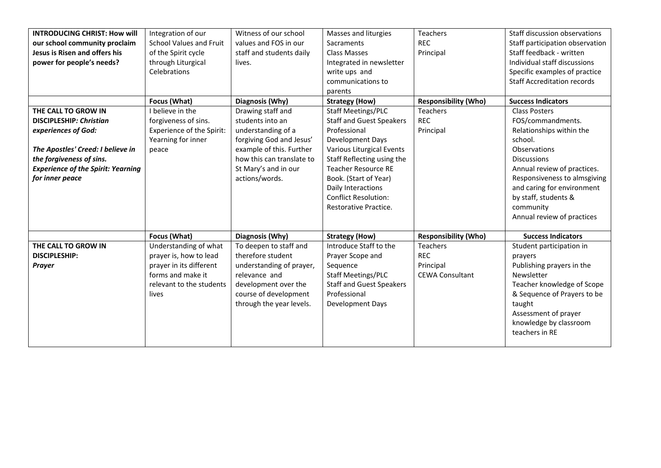| <b>INTRODUCING CHRIST: How will</b>       | Integration of our             | Witness of our school     | Masses and liturgies            | Teachers                    | Staff discussion observations      |
|-------------------------------------------|--------------------------------|---------------------------|---------------------------------|-----------------------------|------------------------------------|
| our school community proclaim             | <b>School Values and Fruit</b> | values and FOS in our     | <b>Sacraments</b>               | <b>REC</b>                  | Staff participation observation    |
| Jesus is Risen and offers his             | of the Spirit cycle            | staff and students daily  | Class Masses                    | Principal                   | Staff feedback - written           |
| power for people's needs?                 | through Liturgical             | lives.                    | Integrated in newsletter        |                             | Individual staff discussions       |
|                                           | Celebrations                   |                           | write ups and                   |                             | Specific examples of practice      |
|                                           |                                |                           | communications to               |                             | <b>Staff Accreditation records</b> |
|                                           |                                |                           | parents                         |                             |                                    |
|                                           | Focus (What)                   | Diagnosis (Why)           | <b>Strategy (How)</b>           | <b>Responsibility (Who)</b> | <b>Success Indicators</b>          |
| THE CALL TO GROW IN                       | I believe in the               | Drawing staff and         | Staff Meetings/PLC              | <b>Teachers</b>             | <b>Class Posters</b>               |
| <b>DISCIPLESHIP: Christian</b>            | forgiveness of sins.           | students into an          | <b>Staff and Guest Speakers</b> | <b>REC</b>                  | FOS/commandments.                  |
| experiences of God:                       | Experience of the Spirit:      | understanding of a        | Professional                    | Principal                   | Relationships within the           |
|                                           | Yearning for inner             | forgiving God and Jesus'  | Development Days                |                             | school.                            |
| The Apostles' Creed: I believe in         | peace                          | example of this. Further  | Various Liturgical Events       |                             | Observations                       |
| the forgiveness of sins.                  |                                | how this can translate to | Staff Reflecting using the      |                             | <b>Discussions</b>                 |
| <b>Experience of the Spirit: Yearning</b> |                                | St Mary's and in our      | <b>Teacher Resource RE</b>      |                             | Annual review of practices.        |
| for inner peace                           |                                | actions/words.            | Book. (Start of Year)           |                             | Responsiveness to almsgiving       |
|                                           |                                |                           | Daily Interactions              |                             | and caring for environment         |
|                                           |                                |                           | <b>Conflict Resolution:</b>     |                             | by staff, students &               |
|                                           |                                |                           | Restorative Practice.           |                             | community                          |
|                                           |                                |                           |                                 |                             | Annual review of practices         |
|                                           |                                |                           |                                 |                             |                                    |
|                                           | Focus (What)                   | Diagnosis (Why)           | <b>Strategy (How)</b>           | <b>Responsibility (Who)</b> | <b>Success Indicators</b>          |
| THE CALL TO GROW IN                       | Understanding of what          | To deepen to staff and    | Introduce Staff to the          | Teachers                    | Student participation in           |
| <b>DISCIPLESHIP:</b>                      | prayer is, how to lead         | therefore student         | Prayer Scope and                | <b>REC</b>                  | prayers                            |
| Prayer                                    | prayer in its different        | understanding of prayer,  | Sequence                        | Principal                   | Publishing prayers in the          |
|                                           | forms and make it              | relevance and             | <b>Staff Meetings/PLC</b>       | <b>CEWA Consultant</b>      | Newsletter                         |
|                                           | relevant to the students       | development over the      | <b>Staff and Guest Speakers</b> |                             | Teacher knowledge of Scope         |
|                                           | lives                          | course of development     | Professional                    |                             | & Sequence of Prayers to be        |
|                                           |                                | through the year levels.  | Development Days                |                             | taught                             |
|                                           |                                |                           |                                 |                             | Assessment of prayer               |
|                                           |                                |                           |                                 |                             | knowledge by classroom             |
|                                           |                                |                           |                                 |                             | teachers in RE                     |
|                                           |                                |                           |                                 |                             |                                    |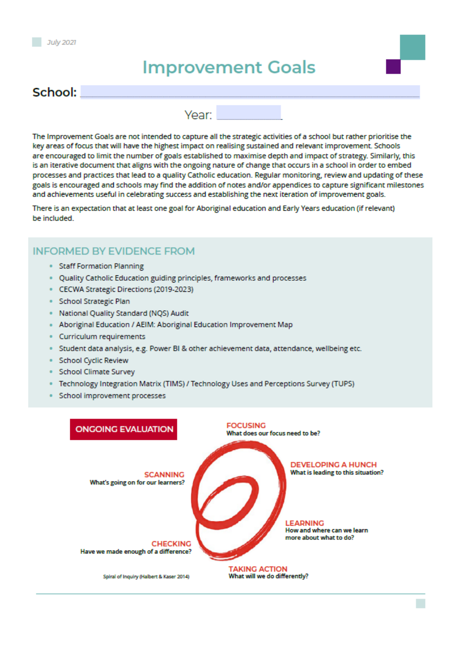# **Improvement Goals**

## School:

Year:

The Improvement Goals are not intended to capture all the strategic activities of a school but rather prioritise the key areas of focus that will have the highest impact on realising sustained and relevant improvement. Schools are encouraged to limit the number of goals established to maximise depth and impact of strategy. Similarly, this is an iterative document that aligns with the ongoing nature of change that occurs in a school in order to embed processes and practices that lead to a quality Catholic education. Regular monitoring, review and updating of these goals is encouraged and schools may find the addition of notes and/or appendices to capture significant milestones and achievements useful in celebrating success and establishing the next iteration of improvement goals.

There is an expectation that at least one goal for Aboriginal education and Early Years education (if relevant) be included.

### **INFORMED BY EVIDENCE FROM**

- **Staff Formation Planning**
- Quality Catholic Education guiding principles, frameworks and processes
- CECWA Strategic Directions (2019-2023)
- · School Strategic Plan
- · National Quality Standard (NQS) Audit
- Aboriginal Education / AEIM: Aboriginal Education Improvement Map
- Curriculum requirements
- · Student data analysis, e.g. Power BI & other achievement data, attendance, wellbeing etc.
- · School Cyclic Review
- · School Climate Survey
- · Technology Integration Matrix (TIMS) / Technology Uses and Perceptions Survey (TUPS)
- School improvement processes

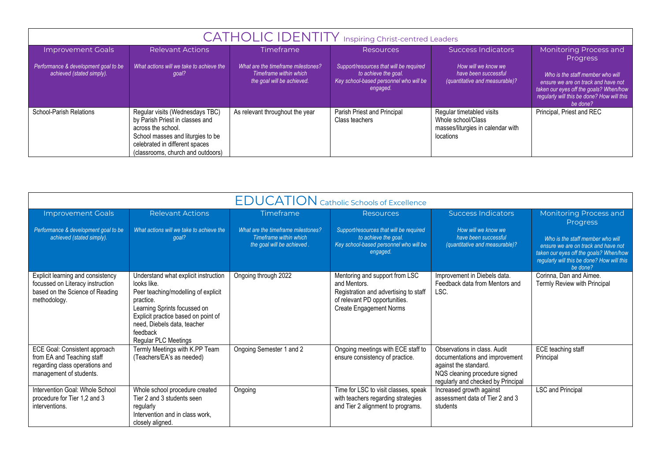|                                                                   | <b>CATHOLIC IDENTITY</b> Inspiring Christ-centred Leaders                                                                                                                                            |                                                                                            |                                                                                                                       |                                                                                                   |                                                                                                                                                                             |  |
|-------------------------------------------------------------------|------------------------------------------------------------------------------------------------------------------------------------------------------------------------------------------------------|--------------------------------------------------------------------------------------------|-----------------------------------------------------------------------------------------------------------------------|---------------------------------------------------------------------------------------------------|-----------------------------------------------------------------------------------------------------------------------------------------------------------------------------|--|
| <b>Improvement Goals</b>                                          | <b>Relevant Actions</b>                                                                                                                                                                              | <b>Timeframe</b>                                                                           | <b>Resources</b>                                                                                                      | Success Indicators                                                                                | Monitoring Process and<br><b>Progress</b>                                                                                                                                   |  |
| Performance & development goal to be<br>achieved (stated simply). | What actions will we take to achieve the<br>goal?                                                                                                                                                    | What are the timeframe milestones?<br>Timeframe within which<br>the goal will be achieved. | Support/resources that will be required<br>to achieve the goal.<br>Key school-based personnel who will be<br>engaged. | How will we know we<br>have been successful<br>(quantitative and measurable)?                     | Who is the staff member who will<br>ensure we are on track and have not<br>taken our eyes off the goals? When/how<br>regularly will this be done? How will this<br>be done? |  |
| <b>School-Parish Relations</b>                                    | Regular visits (Wednesdays TBC)<br>by Parish Priest in classes and<br>across the school.<br>School masses and liturgies to be<br>celebrated in different spaces<br>(classrooms, church and outdoors) | As relevant throughout the year                                                            | Parish Priest and Principal<br>Class teachers                                                                         | Regular timetabled visits<br>Whole school/Class<br>masses/liturgies in calendar with<br>locations | Principal, Priest and REC                                                                                                                                                   |  |

|                                                                                                                          |                                                                                                                                                                                                                                                          |                                                                                            | <b>EDUCATION</b> Catholic Schools of Excellence                                                                                                     |                                                                                                                                                                |                                                                                                                                                                             |
|--------------------------------------------------------------------------------------------------------------------------|----------------------------------------------------------------------------------------------------------------------------------------------------------------------------------------------------------------------------------------------------------|--------------------------------------------------------------------------------------------|-----------------------------------------------------------------------------------------------------------------------------------------------------|----------------------------------------------------------------------------------------------------------------------------------------------------------------|-----------------------------------------------------------------------------------------------------------------------------------------------------------------------------|
| <b>Improvement Goals</b>                                                                                                 | <b>Relevant Actions</b>                                                                                                                                                                                                                                  | Timeframe                                                                                  | <b>Resources</b>                                                                                                                                    | <b>Success Indicators</b>                                                                                                                                      | Monitoring Process and<br>Progress                                                                                                                                          |
| Performance & development goal to be<br>achieved (stated simply).                                                        | What actions will we take to achieve the<br>aoal?                                                                                                                                                                                                        | What are the timeframe milestones?<br>Timeframe within which<br>the goal will be achieved. | Support/resources that will be required<br>to achieve the goal.<br>Key school-based personnel who will be<br>engaged.                               | How will we know we<br>have been successful<br>(quantitative and measurable)?                                                                                  | Who is the staff member who will<br>ensure we are on track and have not<br>taken our eyes off the goals? When/how<br>regularly will this be done? How will this<br>be done? |
| Explicit learning and consistency<br>focussed on Literacy instruction<br>based on the Science of Reading<br>methodology. | Understand what explicit instruction<br>looks like.<br>Peer teaching/modelling of explicit<br>practice.<br>Learning Sprints focussed on<br>Explicit practice based on point of<br>need, Diebels data, teacher<br>feedback<br><b>Regular PLC Meetings</b> | Ongoing through 2022                                                                       | Mentoring and support from LSC<br>and Mentors.<br>Registration and advertising to staff<br>of relevant PD opportunities.<br>Create Engagement Norms | Improvement in Diebels data.<br>Feedback data from Mentors and<br>LSC.                                                                                         | Corinna, Dan and Aimee.<br>Termly Review with Principal                                                                                                                     |
| ECE Goal: Consistent approach<br>from EA and Teaching staff<br>regarding class operations and<br>management of students. | Termly Meetings with K.PP Team<br>(Teachers/EA's as needed)                                                                                                                                                                                              | Ongoing Semester 1 and 2                                                                   | Ongoing meetings with ECE staff to<br>ensure consistency of practice.                                                                               | Observations in class. Audit<br>documentations and improvement<br>against the standard.<br>NQS cleaning procedure signed<br>regularly and checked by Principal | ECE teaching staff<br>Principal                                                                                                                                             |
| Intervention Goal: Whole School<br>procedure for Tier 1,2 and 3<br>interventions.                                        | Whole school procedure created<br>Tier 2 and 3 students seen<br>regularly<br>Intervention and in class work,<br>closely aligned.                                                                                                                         | Ongoing                                                                                    | Time for LSC to visit classes, speak<br>with teachers regarding strategies<br>and Tier 2 alignment to programs.                                     | Increased growth against<br>assessment data of Tier 2 and 3<br>students                                                                                        | <b>LSC and Principal</b>                                                                                                                                                    |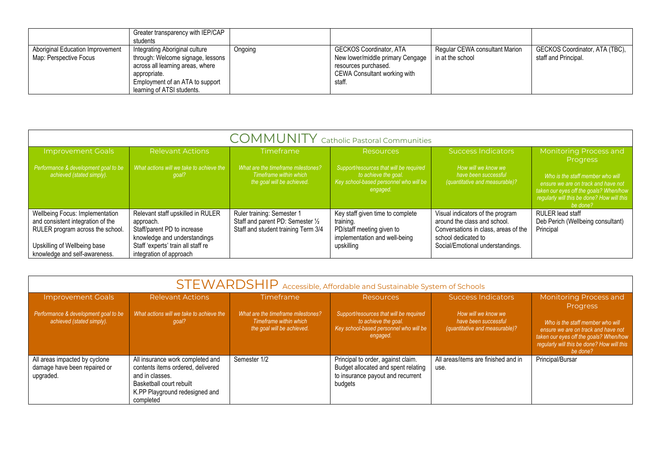|                                                            | Greater transparency with IEP/CAP<br>students                                                                                                                                            |         |                                                                                                                                      |                                                    |                                                        |
|------------------------------------------------------------|------------------------------------------------------------------------------------------------------------------------------------------------------------------------------------------|---------|--------------------------------------------------------------------------------------------------------------------------------------|----------------------------------------------------|--------------------------------------------------------|
| Aboriginal Education Improvement<br>Map: Perspective Focus | Integrating Aboriginal culture<br>through: Welcome signage, lessons<br>across all learning areas, where<br>appropriate.<br>Employment of an ATA to support<br>learning of ATSI students. | Ongoing | <b>GECKOS Coordinator, ATA</b><br>New lower/middle primary Cengage<br>resources purchased.<br>CEWA Consultant working with<br>staff. | Regular CEWA consultant Marion<br>in at the school | GECKOS Coordinator, ATA (TBC),<br>staff and Principal. |

|                                                                                                                                                                           | <b>COMMUNITY</b> Catholic Pastoral Communities                                                                                                                                 |                                                                                                        |                                                                                                                           |                                                                                                                                                                     |                                                                                                                                                                                                |  |
|---------------------------------------------------------------------------------------------------------------------------------------------------------------------------|--------------------------------------------------------------------------------------------------------------------------------------------------------------------------------|--------------------------------------------------------------------------------------------------------|---------------------------------------------------------------------------------------------------------------------------|---------------------------------------------------------------------------------------------------------------------------------------------------------------------|------------------------------------------------------------------------------------------------------------------------------------------------------------------------------------------------|--|
| <b>Improvement Goals</b>                                                                                                                                                  | <b>Relevant Actions</b>                                                                                                                                                        | <b>Timeframe</b>                                                                                       | Resources                                                                                                                 | <b>Success Indicators</b>                                                                                                                                           | <b>Monitoring Process and</b>                                                                                                                                                                  |  |
| Performance & development goal to be<br>achieved (stated simply).                                                                                                         | What actions will we take to achieve the<br>goal?                                                                                                                              | What are the timeframe milestones?<br>Timeframe within which<br>the goal will be achieved.             | Support/resources that will be required<br>to achieve the goal.<br>Key school-based personnel who will be<br>engaged.     | How will we know we<br>have been successful<br>(quantitative and measurable)?                                                                                       | <b>Progress</b><br>Who is the staff member who will<br>ensure we are on track and have not<br>taken our eyes off the goals? When/how<br>regularly will this be done? How will this<br>be done? |  |
| Wellbeing Focus: Implementation<br>and consistent integration of the<br>RULER program across the school.<br>Upskilling of Wellbeing base<br>knowledge and self-awareness. | Relevant staff upskilled in RULER<br>approach.<br>Staff/parent PD to increase<br>knowledge and understandings<br>Staff 'experts' train all staff re<br>integration of approach | Ruler training: Semester 1<br>Staff and parent PD: Semester 1/2<br>Staff and student training Term 3/4 | Key staff given time to complete<br>training.<br>PD/staff meeting given to<br>implementation and well-being<br>upskilling | Visual indicators of the program<br>around the class and school.<br>Conversations in class, areas of the<br>school dedicated to<br>Social/Emotional understandings. | RULER lead staff<br>Deb Perich (Wellbeing consultant)<br>Principal                                                                                                                             |  |

|                                                                            |                                                                                                                                                                     |                                                                                            | STEWARDSHIP Accessible, Affordable and Sustainable System of Schools                                                      |                                                                               |                                                                                                                                                                             |
|----------------------------------------------------------------------------|---------------------------------------------------------------------------------------------------------------------------------------------------------------------|--------------------------------------------------------------------------------------------|---------------------------------------------------------------------------------------------------------------------------|-------------------------------------------------------------------------------|-----------------------------------------------------------------------------------------------------------------------------------------------------------------------------|
| <b>Improvement Goals</b>                                                   | <b>Relevant Actions</b>                                                                                                                                             | <b>Timeframe</b>                                                                           | <b>Resources</b>                                                                                                          | Success Indicators                                                            | Monitoring Process and<br><b>Progress</b>                                                                                                                                   |
| Performance & development goal to be<br>achieved (stated simply).          | What actions will we take to achieve the<br>goal?                                                                                                                   | What are the timeframe milestones?<br>Timeframe within which<br>the goal will be achieved. | Support/resources that will be required<br>to achieve the goal.<br>Key school-based personnel who will be<br>engaged.     | How will we know we<br>have been successful<br>(quantitative and measurable)? | Who is the staff member who will<br>ensure we are on track and have not<br>taken our eyes off the goals? When/how<br>regularly will this be done? How will this<br>be done? |
| All areas impacted by cyclone<br>damage have been repaired or<br>upgraded. | All insurance work completed and<br>contents items ordered, delivered<br>and in classes.<br>Basketball court rebuilt<br>K.PP Playground redesigned and<br>completed | Semester 1/2                                                                               | Principal to order, against claim.<br>Budget allocated and spent relating<br>to insurance payout and recurrent<br>budgets | All areas/items are finished and in<br>use.                                   | Principal/Bursar                                                                                                                                                            |